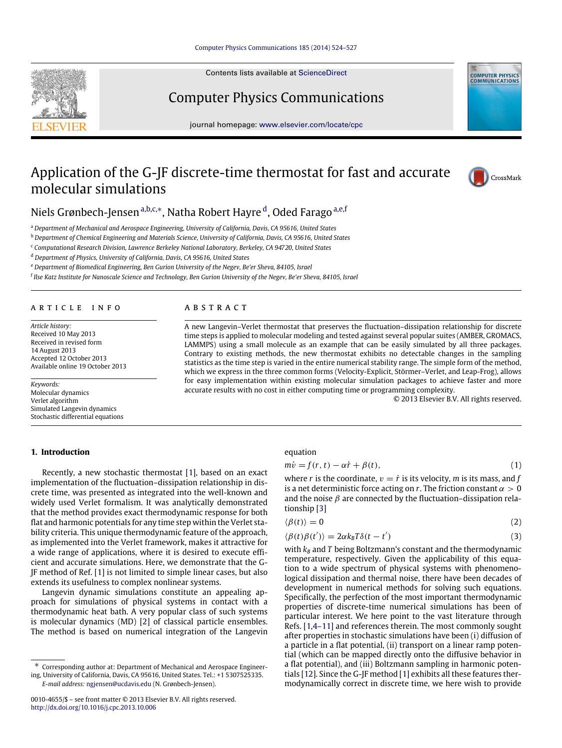#### [Computer Physics Communications 185 \(2014\) 524–527](http://dx.doi.org/10.1016/j.cpc.2013.10.006)

Contents lists available at [ScienceDirect](http://www.elsevier.com/locate/cpc)

## Computer Physics Communications

journal homepage: [www.elsevier.com/locate/cpc](http://www.elsevier.com/locate/cpc)

# Application of the G-JF discrete-time thermostat for fast and accurate molecular simulations



**COMPUTER PHYSICS**<br>COMMUNICATIONS

## Niels Grønbech-Jensen <sup>[a](#page-0-0)[,b,](#page-0-1)[c,](#page-0-2)</sup>\*, Natha Robert Hayre <sup>[d](#page-0-4)</sup>, Oded Farago <sup>[a,](#page-0-0)[e](#page-0-5)[,f](#page-0-6)</sup>

<span id="page-0-0"></span><sup>a</sup> *Department of Mechanical and Aerospace Engineering, University of California, Davis, CA 95616, United States*

<span id="page-0-1"></span><sup>b</sup> *Department of Chemical Engineering and Materials Science, University of California, Davis, CA 95616, United States*

<span id="page-0-2"></span><sup>c</sup> *Computational Research Division, Lawrence Berkeley National Laboratory, Berkeley, CA 94720, United States*

<span id="page-0-4"></span><sup>d</sup> *Department of Physics, University of California, Davis, CA 95616, United States*

<span id="page-0-5"></span><sup>e</sup> *Department of Biomedical Engineering, Ben Gurion University of the Negev, Be'er Sheva, 84105, Israel*

<span id="page-0-6"></span>f *Ilse Katz Institute for Nanoscale Science and Technology, Ben Gurion University of the Negev, Be'er Sheva, 84105, Israel*

#### ARTICLE INFO

*Article history:* Received 10 May 2013 Received in revised form 14 August 2013 Accepted 12 October 2013 Available online 19 October 2013

*Keywords:* Molecular dynamics Verlet algorithm Simulated Langevin dynamics Stochastic differential equations

#### **1. Introduction**

### A B S T R A C T

A new Langevin–Verlet thermostat that preserves the fluctuation–dissipation relationship for discrete time steps is applied to molecular modeling and tested against several popular suites (AMBER, GROMACS, LAMMPS) using a small molecule as an example that can be easily simulated by all three packages. Contrary to existing methods, the new thermostat exhibits no detectable changes in the sampling statistics as the time step is varied in the entire numerical stability range. The simple form of the method, which we express in the three common forms (Velocity-Explicit, Störmer–Verlet, and Leap-Frog), allows for easy implementation within existing molecular simulation packages to achieve faster and more accurate results with no cost in either computing time or programming complexity.

© 2013 Elsevier B.V. All rights reserved.

Recently, a new stochastic thermostat [\[1\]](#page-3-0), based on an exact implementation of the fluctuation–dissipation relationship in discrete time, was presented as integrated into the well-known and widely used Verlet formalism. It was analytically demonstrated that the method provides exact thermodynamic response for both flat and harmonic potentials for any time step within the Verlet stability criteria. This unique thermodynamic feature of the approach, as implemented into the Verlet framework, makes it attractive for a wide range of applications, where it is desired to execute efficient and accurate simulations. Here, we demonstrate that the G-JF method of Ref. [\[1\]](#page-3-0) is not limited to simple linear cases, but also extends its usefulness to complex nonlinear systems.

Langevin dynamic simulations constitute an appealing approach for simulations of physical systems in contact with a thermodynamic heat bath. A very popular class of such systems is molecular dynamics (MD) [\[2\]](#page-3-1) of classical particle ensembles. The method is based on numerical integration of the Langevin

#### equation

$$
m\dot{v} = f(r, t) - \alpha \dot{r} + \beta(t),
$$
\n(1)

where *r* is the coordinate,  $v = \dot{r}$  is its velocity, *m* is its mass, and *f* is a net deterministic force acting on *r*. The friction constant  $\alpha > 0$ and the noise  $\beta$  are connected by the fluctuation–dissipation relationship [\[3\]](#page-3-2)

$$
\langle \beta(t) \rangle = 0 \tag{2}
$$

$$
\langle \beta(t)\beta(t')\rangle = 2\alpha k_B T \delta(t - t')
$$
\n(3)

with  $k_B$  and  $T$  being Boltzmann's constant and the thermodynamic temperature, respectively. Given the applicability of this equation to a wide spectrum of physical systems with phenomenological dissipation and thermal noise, there have been decades of development in numerical methods for solving such equations. Specifically, the perfection of the most important thermodynamic properties of discrete-time numerical simulations has been of particular interest. We here point to the vast literature through Refs. [\[1,](#page-3-0)[4–11\]](#page-3-3) and references therein. The most commonly sought after properties in stochastic simulations have been (i) diffusion of a particle in a flat potential, (ii) transport on a linear ramp potential (which can be mapped directly onto the diffusive behavior in a flat potential), and (iii) Boltzmann sampling in harmonic potentials [\[12\]](#page-3-4). Since the G-JF method [\[1\]](#page-3-0) exhibits all these features thermodynamically correct in discrete time, we here wish to provide

<span id="page-0-3"></span><sup>∗</sup> Corresponding author at: Department of Mechanical and Aerospace Engineering, University of California, Davis, CA 95616, United States. Tel.: +1 5307525335.

*E-mail address:* [ngjensen@ucdavis.edu](mailto:ngjensen@ucdavis.edu) (N. Grønbech-Jensen).

<sup>0010-4655/\$ –</sup> see front matter © 2013 Elsevier B.V. All rights reserved. <http://dx.doi.org/10.1016/j.cpc.2013.10.006>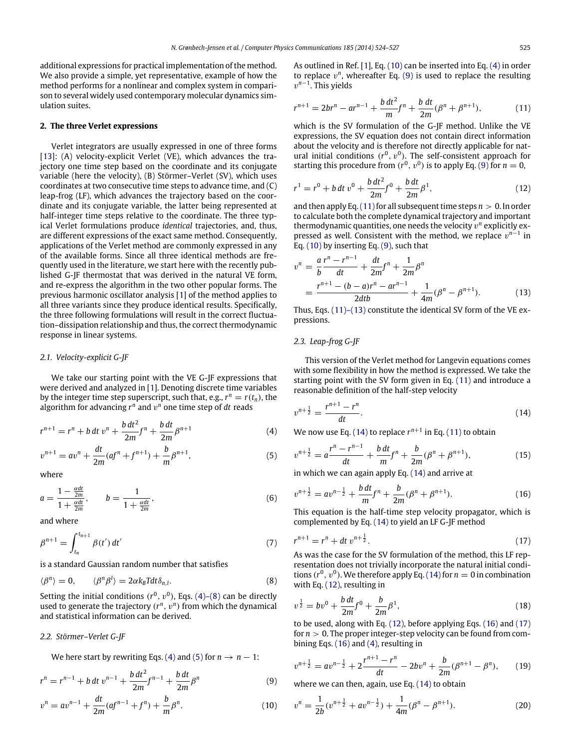additional expressions for practical implementation of the method. We also provide a simple, yet representative, example of how the method performs for a nonlinear and complex system in comparison to several widely used contemporary molecular dynamics simulation suites.

#### **2. The three Verlet expressions**

Verlet integrators are usually expressed in one of three forms [\[13\]](#page-3-5): (A) velocity-explicit Verlet (VE), which advances the trajectory one time step based on the coordinate and its conjugate variable (here the velocity), (B) Störmer–Verlet (SV), which uses coordinates at two consecutive time steps to advance time, and (C) leap-frog (LF), which advances the trajectory based on the coordinate and its conjugate variable, the latter being represented at half-integer time steps relative to the coordinate. The three typical Verlet formulations produce *identical* trajectories, and, thus, are different expressions of the exact same method. Consequently, applications of the Verlet method are commonly expressed in any of the available forms. Since all three identical methods are frequently used in the literature, we start here with the recently published G-JF thermostat that was derived in the natural VE form, and re-express the algorithm in the two other popular forms. The previous harmonic oscillator analysis [\[1\]](#page-3-0) of the method applies to all three variants since they produce identical results. Specifically, the three following formulations will result in the correct fluctuation–dissipation relationship and thus, the correct thermodynamic response in linear systems.

#### *2.1. Velocity-explicit G-JF*

We take our starting point with the VE G-JF expressions that were derived and analyzed in [\[1\]](#page-3-0). Denoting discrete time variables by the integer time step superscript, such that, e.g.,  $r^n = r(t_n)$ , the algorithm for advancing  $r^n$  and  $v^n$  one time step of  $dt$  reads

$$
r^{n+1} = r^n + b \, dt \, v^n + \frac{b \, dt^2}{2m} f^n + \frac{b \, dt}{2m} \beta^{n+1} \tag{4}
$$

$$
v^{n+1} = av^n + \frac{dt}{2m}(af^n + f^{n+1}) + \frac{b}{m}\beta^{n+1},
$$
\n(5)

where

$$
a = \frac{1 - \frac{\alpha dt}{2m}}{1 + \frac{\alpha dt}{2m}}, \qquad b = \frac{1}{1 + \frac{\alpha dt}{2m}}, \tag{6}
$$

and where

$$
\beta^{n+1} = \int_{t_n}^{t_{n+1}} \beta(t') dt'
$$
\n(7)

is a standard Gaussian random number that satisfies

$$
\langle \beta^n \rangle = 0, \qquad \langle \beta^n \beta^l \rangle = 2\alpha k_B T dt \delta_{n,l}.
$$
 (8)

Setting the initial conditions  $(r^0, v^0)$ , Eqs. [\(4\)–\(8\)](#page-1-0) can be directly used to generate the trajectory  $(r^n, v^n)$  from which the dynamical and statistical information can be derived.

#### *2.2. Störmer–Verlet G-JF*

We here start by rewriting Eqs. [\(4\)](#page-1-0) and [\(5\)](#page-1-1) for  $n \to n - 1$ :

$$
r^{n} = r^{n-1} + b \, dt \, v^{n-1} + \frac{b \, dt^{2}}{2m} f^{n-1} + \frac{b \, dt}{2m} \beta^{n}
$$
 (9)

$$
v^{n} = av^{n-1} + \frac{dt}{2m}(af^{n-1} + f^{n}) + \frac{b}{m}\beta^{n}.
$$
 (10)

As outlined in Ref. [\[1\]](#page-3-0), Eq. [\(10\)](#page-1-2) can be inserted into Eq. [\(4\)](#page-1-0) in order to replace  $v^n$ , whereafter Eq.  $(9)$  is used to replace the resulting v *n*−1 . This yields

<span id="page-1-4"></span>
$$
r^{n+1} = 2br^{n} - ar^{n-1} + \frac{b dt^{2}}{m} f^{n} + \frac{b dt}{2m} (\beta^{n} + \beta^{n+1}),
$$
 (11)

which is the SV formulation of the G-JF method. Unlike the VE expressions, the SV equation does not contain direct information about the velocity and is therefore not directly applicable for natural initial conditions  $(r^0, v^0)$ . The self-consistent approach for starting this procedure from  $(r^0, v^0)$  is to apply Eq. [\(9\)](#page-1-3) for  $n = 0$ ,

<span id="page-1-6"></span>
$$
r^{1} = r^{0} + b dt v^{0} + \frac{b dt^{2}}{2m} f^{0} + \frac{b dt}{2m} \beta^{1},
$$
\n(12)

and then apply Eq.  $(11)$  for all subsequent time steps  $n > 0$ . In order to calculate both the complete dynamical trajectory and important thermodynamic quantities, one needs the velocity  $v^n$  explicitly expressed as well. Consistent with the method, we replace  $v^{n-1}$  in Eq. [\(10\)](#page-1-2) by inserting Eq. [\(9\),](#page-1-3) such that

$$
v^{n} = \frac{a}{b} \frac{r^{n} - r^{n-1}}{dt} + \frac{dt}{2m} f^{n} + \frac{1}{2m} \beta^{n}
$$
  
= 
$$
\frac{r^{n+1} - (b - a)r^{n} - ar^{n-1}}{2db} + \frac{1}{4m} (\beta^{n} - \beta^{n+1}).
$$
 (13)

Thus, Eqs. [\(11\)–\(13\)](#page-1-4) constitute the identical SV form of the VE expressions.

#### *2.3. Leap-frog G-JF*

This version of the Verlet method for Langevin equations comes with some flexibility in how the method is expressed. We take the starting point with the SV form given in Eq. [\(11\)](#page-1-4) and introduce a reasonable definition of the half-step velocity

<span id="page-1-5"></span>
$$
v^{n+\frac{1}{2}} = \frac{r^{n+1} - r^n}{dt}.
$$
\n(14)

<span id="page-1-0"></span>We now use Eq. [\(14\)](#page-1-5) to replace  $r^{n+1}$  in Eq. [\(11\)](#page-1-4) to obtain

<span id="page-1-1"></span>
$$
v^{n+\frac{1}{2}} = a \frac{r^n - r^{n-1}}{dt} + \frac{b \, dt}{m} f^n + \frac{b}{2m} (\beta^n + \beta^{n+1}),\tag{15}
$$

in which we can again apply Eq. [\(14\)](#page-1-5) and arrive at

<span id="page-1-7"></span>
$$
v^{n+\frac{1}{2}} = av^{n-\frac{1}{2}} + \frac{b \, dt}{m} f^n + \frac{b}{2m} (\beta^n + \beta^{n+1}). \tag{16}
$$

This equation is the half-time step velocity propagator, which is complemented by Eq. [\(14\)](#page-1-5) to yield an LF G-JF method

<span id="page-1-8"></span>
$$
r^{n+1} = r^n + dt \, v^{n+\frac{1}{2}}.
$$
\n(17)

As was the case for the SV formulation of the method, this LF representation does not trivially incorporate the natural initial conditions  $(r^0, v^0)$ . We therefore apply Eq. [\(14\)](#page-1-5) for  $n = 0$  in combination with Eq. [\(12\),](#page-1-6) resulting in

<span id="page-1-10"></span>
$$
v^{\frac{1}{2}} = bv^{0} + \frac{b dt}{2m} f^{0} + \frac{b}{2m} \beta^{1},
$$
\n(18)

to be used, along with Eq. [\(12\),](#page-1-6) before applying Eqs. [\(16\)](#page-1-7) and [\(17\)](#page-1-8) for  $n > 0$ . The proper integer-step velocity can be found from combining Eqs. [\(16\)](#page-1-7) and [\(4\),](#page-1-0) resulting in

$$
v^{n+\frac{1}{2}} = av^{n-\frac{1}{2}} + 2\frac{r^{n+1} - r^n}{dt} - 2bv^n + \frac{b}{2m}(\beta^{n+1} - \beta^n), \qquad (19)
$$

<span id="page-1-3"></span>where we can then, again, use Eq. [\(14\)](#page-1-5) to obtain

<span id="page-1-9"></span><span id="page-1-2"></span>
$$
v^{n} = \frac{1}{2b}(v^{n+\frac{1}{2}} + av^{n-\frac{1}{2}}) + \frac{1}{4m}(\beta^{n} - \beta^{n+1}).
$$
 (20)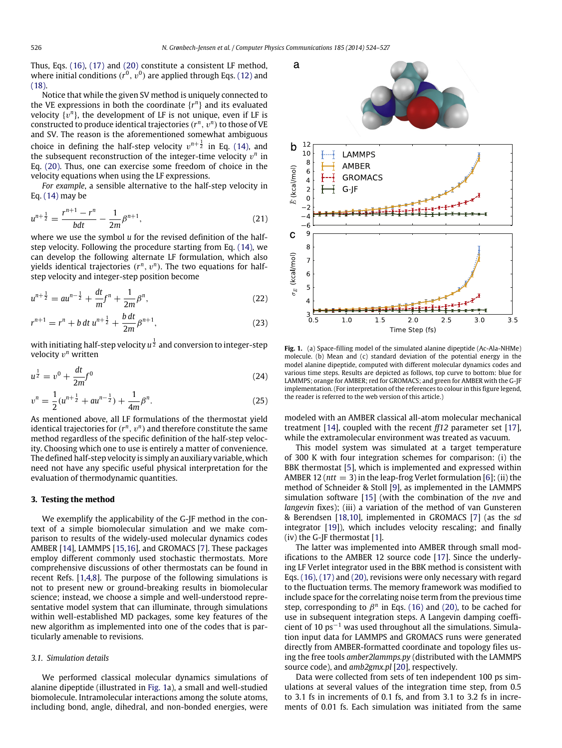<span id="page-2-0"></span>a

Thus, Eqs. [\(16\),](#page-1-7) [\(17\)](#page-1-8) and [\(20\)](#page-1-9) constitute a consistent LF method, where initial conditions  $(r^0,\,v^0)$  are applied through Eqs. [\(12\)](#page-1-6) and [\(18\).](#page-1-10)

Notice that while the given SV method is uniquely connected to the VE expressions in both the coordinate  $\{r^n\}$  and its evaluated velocity  $\{v^n\}$ , the development of LF is not unique, even if LF is constructed to produce identical trajectories  $(r^n, v^n)$  to those of VE and SV. The reason is the aforementioned somewhat ambiguous choice in defining the half-step velocity  $v^{n+\frac{1}{2}}$  in Eq. [\(14\),](#page-1-5) and the subsequent reconstruction of the integer-time velocity  $v^n$  in Eq. [\(20\).](#page-1-9) Thus, one can exercise some freedom of choice in the velocity equations when using the LF expressions.

*For example*, a sensible alternative to the half-step velocity in Eq. [\(14\)](#page-1-5) may be

$$
u^{n+\frac{1}{2}} = \frac{r^{n+1} - r^n}{bdt} - \frac{1}{2m} \beta^{n+1},
$$
\n(21)

where we use the symbol *u* for the revised definition of the halfstep velocity. Following the procedure starting from Eq. [\(14\),](#page-1-5) we can develop the following alternate LF formulation, which also yields identical trajectories  $(r^n, v^n)$ . The two equations for halfstep velocity and integer-step position become

$$
u^{n+\frac{1}{2}} = au^{n-\frac{1}{2}} + \frac{dt}{m}f^n + \frac{1}{2m}\beta^n,
$$
\n(22)

$$
r^{n+1} = r^n + b \, dt \, u^{n+\frac{1}{2}} + \frac{b \, dt}{2m} \beta^{n+1}, \tag{23}
$$

with initiating half-step velocity  $u^\frac{1}{2}$  and conversion to integer-step velocity v *<sup>n</sup>* written

$$
u^{\frac{1}{2}} = v^0 + \frac{dt}{2m} f^0 \tag{24}
$$

$$
v^{n} = \frac{1}{2}(u^{n+\frac{1}{2}} + au^{n-\frac{1}{2}}) + \frac{1}{4m}\beta^{n}.
$$
 (25)

As mentioned above, all LF formulations of the thermostat yield identical trajectories for  $(r^n,\,v^n)$  and therefore constitute the same method regardless of the specific definition of the half-step velocity. Choosing which one to use is entirely a matter of convenience. The defined half-step velocity is simply an auxiliary variable, which need not have any specific useful physical interpretation for the evaluation of thermodynamic quantities.

#### **3. Testing the method**

We exemplify the applicability of the G-JF method in the context of a simple biomolecular simulation and we make comparison to results of the widely-used molecular dynamics codes AMBER [\[14\]](#page-3-6), LAMMPS [\[15](#page-3-7)[,16\]](#page-3-8), and GROMACS [\[7\]](#page-3-9). These packages employ different commonly used stochastic thermostats. More comprehensive discussions of other thermostats can be found in recent Refs. [\[1](#page-3-0)[,4](#page-3-3)[,8\]](#page-3-10). The purpose of the following simulations is not to present new or ground-breaking results in biomolecular science; instead, we choose a simple and well-understood representative model system that can illuminate, through simulations within well-established MD packages, some key features of the new algorithm as implemented into one of the codes that is particularly amenable to revisions.

#### *3.1. Simulation details*

We performed classical molecular dynamics simulations of alanine dipeptide (illustrated in [Fig. 1a](#page-2-0)), a small and well-studied biomolecule. Intramolecular interactions among the solute atoms, including bond, angle, dihedral, and non-bonded energies, were



**Fig. 1.** (a) Space-filling model of the simulated alanine dipeptide (Ac-Ala-NHMe) molecule. (b) Mean and (c) standard deviation of the potential energy in the model alanine dipeptide, computed with different molecular dynamics codes and various time steps. Results are depicted as follows, top curve to bottom: blue for LAMMPS; orange for AMBER; red for GROMACS; and green for AMBER with the G-JF implementation. (For interpretation of the references to colour in this figure legend, the reader is referred to the web version of this article.)

modeled with an AMBER classical all-atom molecular mechanical treatment [\[14\]](#page-3-6), coupled with the recent *ff12* parameter set [\[17\]](#page-3-11), while the extramolecular environment was treated as vacuum.

This model system was simulated at a target temperature of 300 K with four integration schemes for comparison: (i) the BBK thermostat [\[5\]](#page-3-12), which is implemented and expressed within AMBER 12 (*ntt* = 3) in the leap-frog Verlet formulation [\[6\]](#page-3-13); (ii) the method of Schneider & Stoll [\[9\]](#page-3-14), as implemented in the LAMMPS simulation software [\[15\]](#page-3-7) (with the combination of the *nve* and *langevin* fixes); (iii) a variation of the method of van Gunsteren & Berendsen [\[18](#page-3-15)[,10\]](#page-3-16), implemented in GROMACS [\[7\]](#page-3-9) (as the *sd* integrator [\[19\]](#page-3-17)), which includes velocity rescaling; and finally  $(iv)$  the G-JF thermostat [\[1\]](#page-3-0).

The latter was implemented into AMBER through small modifications to the AMBER 12 source code [\[17\]](#page-3-11). Since the underlying LF Verlet integrator used in the BBK method is consistent with Eqs. [\(16\),](#page-1-7) [\(17\)](#page-1-8) and [\(20\),](#page-1-9) revisions were only necessary with regard to the fluctuation terms. The memory framework was modified to include space for the correlating noise term from the previous time step, corresponding to  $\beta^n$  in Eqs. [\(16\)](#page-1-7) and [\(20\),](#page-1-9) to be cached for use in subsequent integration steps. A Langevin damping coefficient of 10  $ps^{-1}$  was used throughout all the simulations. Simulation input data for LAMMPS and GROMACS runs were generated directly from AMBER-formatted coordinate and topology files using the free tools *amber2lammps.py* (distributed with the LAMMPS source code), and *amb2gmx.pl* [\[20\]](#page-3-18), respectively.

Data were collected from sets of ten independent 100 ps simulations at several values of the integration time step, from 0.5 to 3.1 fs in increments of 0.1 fs, and from 3.1 to 3.2 fs in increments of 0.01 fs. Each simulation was initiated from the same